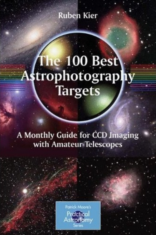**Ruben Kier** 

# The 100 Best **Targets**

A Monthly Guide for CCD Imaging with Amateur Telescopes

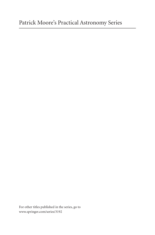For other titles published in the series, go to www.springer.com/series/3192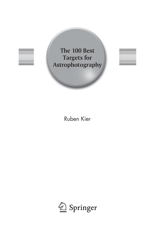





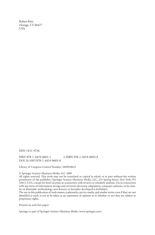Ruben Kier Orange, CT 06477 USA

ISSN 1431-9756

ISBN 978-1-4419-0602-1 e-ISBN 978-1-4419-0603-8 DOI 10.1007/978-1-4419-0603-8

Library of Congress Control Number: 2009928623

© Springer Science+Business Media, LLC 2009

All rights reserved. This work may not be translated or copied in whole or in part without the written permission of the publisher (Springer Science+Business Media, LLC, 233 Spring Street, New York, NY 10013, USA), except for brief excerpts in connection with reviews or scholarly analysis. Use in connection with any form of information storage and retrieval, electronic adaptation, computer software, or by similar or dissimilar methodology now known or hereafter developed is forbidden.

The use in this publication of trade names, trademarks, service marks, and similar terms, even if they are not identified as such, is not to be taken as an expression of opinion as to whether or not they are subject to proprietary rights.

Printed on acid-free paper

Springer is part of Springer Science+Business Media (www.springer.com)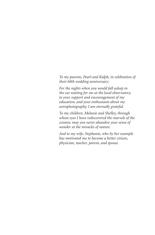*To my parents, Pearl and Ralph, in celebration of their 60th wedding anniversary:*

*For the nights when you would fall asleep in the car waiting for me at the local observatory, to your support and encouragement of my education, and your enthusiasm about my astrophotography, I am eternally grateful.*

*To my children, Melanie and Shelley, through whose eyes I have rediscovered the marvels of the cosmos; may you never abandon your sense of wonder at the miracles of nature.*

*And to my wife, Stephanie, who by her example has motivated me to become a better citizen, physician, teacher, parent, and spouse.*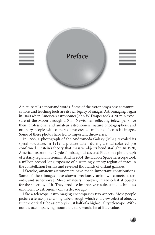

A picture tells a thousand words. Some of the astronomy's best communications and teaching tools are its rich legacy of images. Astroimaging began in 1840 when American astronomer John W. Draper took a 20-min exposure of the Moon through a 5-in. Newtonian reflecting telescope. Since then, professional and amateur astronomers, nature photographers, and ordinary people with cameras have created millions of celestial images. Some of these photos have led to important discoveries.

In 1888, a photograph of the Andromeda Galaxy (M31) revealed its spiral structure. In 1919, a picture taken during a total solar eclipse confirmed Einstein's theory that massive objects bend starlight. In 1930, American astronomer Clyde Tombaugh discovered Pluto on a photograph of a starry region in Gemini. And in 2004, the Hubble Space Telescope took a million-second-long exposure of a seemingly empty region of space in the constellation Fornax and revealed thousands of distant galaxies.

Likewise, amateur astronomers have made important contributions. Some of their images have shown previously unknown comets, asteroids, and supernovae. Most amateurs, however, image celestial objects for the sheer joy of it. They produce impressive results using techniques unknown to astronomy only a decade ago.

Like a telescope, astroimaging encompasses two aspects. Most people picture a telescope as a long tube through which you view celestial objects. But the optical tube assembly is just half of a high-quality telescope. Without the accompanying mount, the tube would be of little value.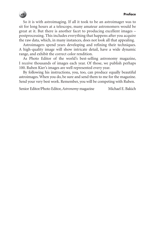So it is with astroimaging. If all it took to be an astroimager was to sit for long hours at a telescope, many amateur astronomers would be great at it. But there is another facet to producing excellent images – postprocessing. This includes everything that happens after you acquire the raw data, which, in many instances, does not look all that appealing.

Astroimagers spend years developing and refining their techniques. A high-quality image will show intricate detail, have a wide dynamic range, and exhibit the correct color rendition.

As Photo Editor of the world's best-selling astronomy magazine, I receive thousands of images each year. Of those, we publish perhaps 100. Ruben Kier's images are well represented every year.

By following his instructions, you, too, can produce equally beautiful astroimages. When you do, be sure and send them to me for the magazine. Send your very best work. Remember, you will be competing with Ruben.

Senior Editor/Photo Editor, *Astronomy* magazine Michael E. Bakich

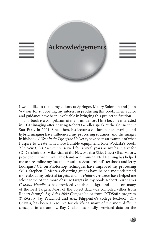

I would like to thank my editors at Springer, Maury Solomon and John Watson, for supporting my interest in producing this book. Their advice and guidance have been invaluable in bringing this project to fruition.

This book is a compilation of many influences. I first became interested in CCD imaging after hearing Robert Gendler speak at the Connecticut Star Party in 2001. Since then, his lectures on luminance layering and hybrid imaging have influenced my processing routines, and the images in his book, *A Year in the Life of the Universe*, have been an example of what I aspire to create with more humble equipment. Ron Wodaski's book, *The New CCD Astronomy*, served for several years as my basic text for CCD techniques. Mike Rice, at the New Mexico Skies Guest Observatory, provided me with invaluable hands-on training. Neil Fleming has helped me to streamline my focusing routines. Scott Ireland's textbook and Jerry Lodriguss' CD on Photoshop techniques have improved my processing skills. Stephen O'Meara's observing guides have helped me understand more about my celestial targets, and his *Hidden Treasures* have helped me select some of the more obscure targets in my book. Robert Burnham's *Celestial Handbook* has provided valuable background detail on many of the Best Targets. Most of the object data was compiled either from Robert Strong's *Sky Atlas 2000 Companion* or from CCDSoft's program *TheSkySix*. Jay Pasachoff and Alex Filippenko's college textbook, *The Cosmos*, has been a resource for clarifying many of the more difficult concepts in astronomy. Ray Gralak has kindly provided data on the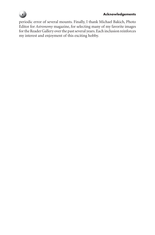

### **Acknowledgements**

periodic error of several mounts. Finally, I thank Michael Bakich, Photo Editor for *Astronomy* magazine, for selecting many of my favorite images for the Reader Gallery over the past several years. Each inclusion reinforces my interest and enjoyment of this exciting hobby.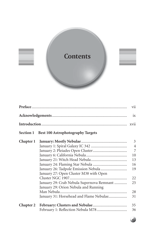

|                  |                                           | vii            |
|------------------|-------------------------------------------|----------------|
|                  |                                           | ix             |
|                  |                                           |                |
| Section 1        | <b>Best 100 Astrophotography Targets</b>  |                |
| Chapter 1        |                                           | $\mathfrak{Z}$ |
|                  |                                           | $\overline{4}$ |
|                  |                                           | $\overline{7}$ |
|                  |                                           | 10             |
|                  |                                           | 13             |
|                  |                                           | 16             |
|                  |                                           | 19             |
|                  | January 27: Open Cluster M38 with Open    |                |
|                  |                                           | 22             |
|                  | January 29: Crab Nebula Supernova Remnant | 25             |
|                  | January 29: Orion Nebula and Running      |                |
|                  |                                           | 28             |
|                  | January 31: Horsehead and Flame Nebulae   | 31             |
| <b>Chapter 2</b> |                                           | 35             |
|                  |                                           | 36             |

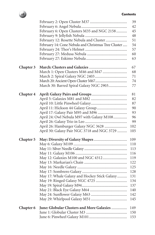#### **Contents**



|                  |                                                     | 39  |
|------------------|-----------------------------------------------------|-----|
|                  |                                                     | 42  |
|                  | February 6: Open Clusters M35 and NGC 2158          | 45  |
|                  |                                                     | 48  |
|                  | February 12: Rosette Nebula and Cluster             | 51  |
|                  | February 14: Cone Nebula and Christmas Tree Cluster | 54  |
|                  |                                                     | 57  |
|                  |                                                     | 60  |
|                  |                                                     | 63  |
| Chapter 3        |                                                     | 67  |
|                  |                                                     | 68  |
|                  |                                                     | 71  |
|                  |                                                     | 74  |
|                  | March 30: Barred Spiral Galaxy NGC 2903             | 77  |
| Chapter 4        |                                                     | 81  |
|                  |                                                     | 82  |
|                  |                                                     | 87  |
|                  |                                                     | 90  |
|                  |                                                     | 93  |
|                  | April 24: Owl Nebula M97 with Galaxy M108           | 96  |
|                  |                                                     | 99  |
|                  | April 26: Hamburger Galaxy NGC 3628                 | 102 |
|                  | April 30: Galaxy Pair NGC 3718 and NGC 3729         | 105 |
| <b>Chapter 5</b> |                                                     | 109 |
|                  |                                                     | 110 |
|                  |                                                     | 113 |
|                  |                                                     | 116 |
|                  | May 12: Galaxies M100 and NGC 4312                  | 119 |
|                  |                                                     | 122 |
|                  |                                                     | 125 |
|                  |                                                     | 128 |
|                  | May 17: Whale Galaxy and Hockey Stick Galaxy        | 131 |
|                  |                                                     | 134 |
|                  |                                                     | 137 |
|                  |                                                     | 140 |
|                  |                                                     | 142 |
|                  |                                                     | 145 |
| <b>Chapter 6</b> | June: Globular Clusters and More Galaxies           | 149 |
|                  |                                                     | 150 |
|                  |                                                     | 153 |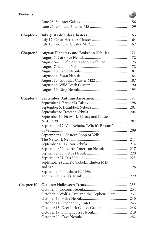#### **Contents**

|                  |                                                | 156<br>159 |
|------------------|------------------------------------------------|------------|
|                  |                                                |            |
| <b>Chapter 7</b> |                                                | 163        |
|                  |                                                | 164        |
|                  |                                                | 167        |
| <b>Chapter 8</b> | <b>August: Planetary and Emission Nebulae </b> | 171        |
|                  |                                                | 172        |
|                  | August 6-7: Trifid and Lagoon Nebulae          | 175        |
|                  |                                                | 178        |
|                  |                                                | 181        |
|                  |                                                | 184        |
|                  |                                                | 187        |
|                  |                                                | 190        |
|                  |                                                | 193        |
| <b>Chapter 9</b> |                                                | 197        |
|                  |                                                | 198        |
|                  |                                                | 201        |
|                  |                                                | 204        |
|                  | September 14: Fireworks Galaxy and Cluster     |            |
|                  |                                                | 207        |
|                  | September 17: Veil Nebula, "Witch's Broom"     |            |
|                  | of Veil                                        | 209        |
|                  | September 19: Eastern Loop of Veil:            |            |
|                  |                                                | 211        |
|                  |                                                | 214        |
|                  | September 20: North American Nebula            | 217        |
|                  |                                                | 220        |
|                  |                                                | 223        |
|                  | September 28 and 29: Globular Clusters M15     |            |
|                  |                                                | 226        |
|                  | September 30: Nebula IC 1396                   |            |
|                  |                                                | 229        |
| Chapter 10       |                                                | 233        |
|                  |                                                | 234        |
|                  | October 9: Wolf's Cave and the Cepheus Flare   | 237        |
|                  |                                                | 240        |
|                  |                                                | 243        |
|                  |                                                | 246        |
|                  |                                                | 249        |
|                  |                                                | 252        |

## **xiii**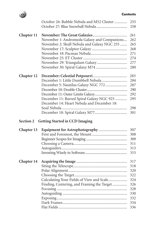| ontents |
|---------|
|---------|



|            | October 26: Bubble Nebula and M52 Cluster   | 255<br>258 |
|------------|---------------------------------------------|------------|
| Chapter 11 |                                             | 261        |
|            | November 1: Andromeda Galaxy and Companions | 262        |
|            | November 2: Skull Nebula and Galaxy NGC 255 | 265        |
|            |                                             | 268        |
|            |                                             | 271        |
|            |                                             | 274        |
|            |                                             | 277        |
|            |                                             | 280        |
| Chapter 12 |                                             | 283        |
|            |                                             | 284        |
|            | December 5: Nautilus Galaxy NGC 772         | 287        |
|            |                                             | 290        |
|            |                                             | 292        |
|            | December 11: Barred Spiral Galaxy NGC 925   | 295        |
|            | December 14: Heart Nebula and December 18:  |            |
|            |                                             | 298        |
|            |                                             | 301        |
|            |                                             |            |
| Section 2  | <b>Getting Started in CCD Imaging</b>       |            |
| Chapter 13 |                                             | 307        |
|            |                                             | 308        |
|            |                                             | 309        |
|            |                                             | 311        |
|            |                                             | 313        |
|            |                                             | 315        |
| Chapter 14 |                                             | 317        |
|            |                                             | 318        |
|            |                                             | 320        |
|            |                                             | 322        |
|            | Calculating Your Fields of View and Scale   | 324        |
|            | Finding, Centering, and Framing the Target  | 326        |
|            |                                             | 328        |
|            |                                             | 330        |
|            |                                             | 332        |
|            |                                             | 334<br>336 |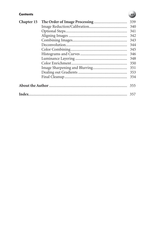## **Contents**

| Chapter 15 | 339 |
|------------|-----|
|            | 340 |
|            | 341 |
|            | 342 |
|            | 343 |
|            | 344 |
|            | 345 |
|            | 346 |
|            | 348 |
|            | 350 |
|            | 351 |
|            | 353 |
|            | 354 |
|            | 355 |
|            |     |

## $\mathbf{X}$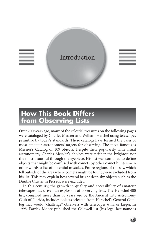

## **How This Book Differs from Observing Lists**

Over 200 years ago, many of the celestial treasures on the following pages were cataloged by Charles Messier and William Hershel using telescopes primitive by today's standards. These catalogs have formed the basis of most amateur astronomers' targets for observing. The most famous is Messier's Catalog of 109 objects. Despite their popularity with visual astronomers, Charles Messier's choices were neither the brightest nor the most beautiful through the eyepiece. His list was compiled to define objects that might be confused with comets by other comet hunters – in other words, a list of potential mistakes. Entire regions of the sky, which fell outside of the area where comets might be found, were excluded from his list. This may explain how several bright deep sky objects such as the Double Cluster in Perseus were excluded.

In this century, the growth in quality and accessibility of amateur telescopes has driven an explosion of observing lists. The Herschel 400 list, compiled more than 30 years ago by the Ancient City Astronomy Club of Florida, includes objects selected from Herschel's General Catalog that would "challenge" observers with telescopes 6 in. or larger. In 1995, Patrick Moore published the Caldwell list (his legal last name is